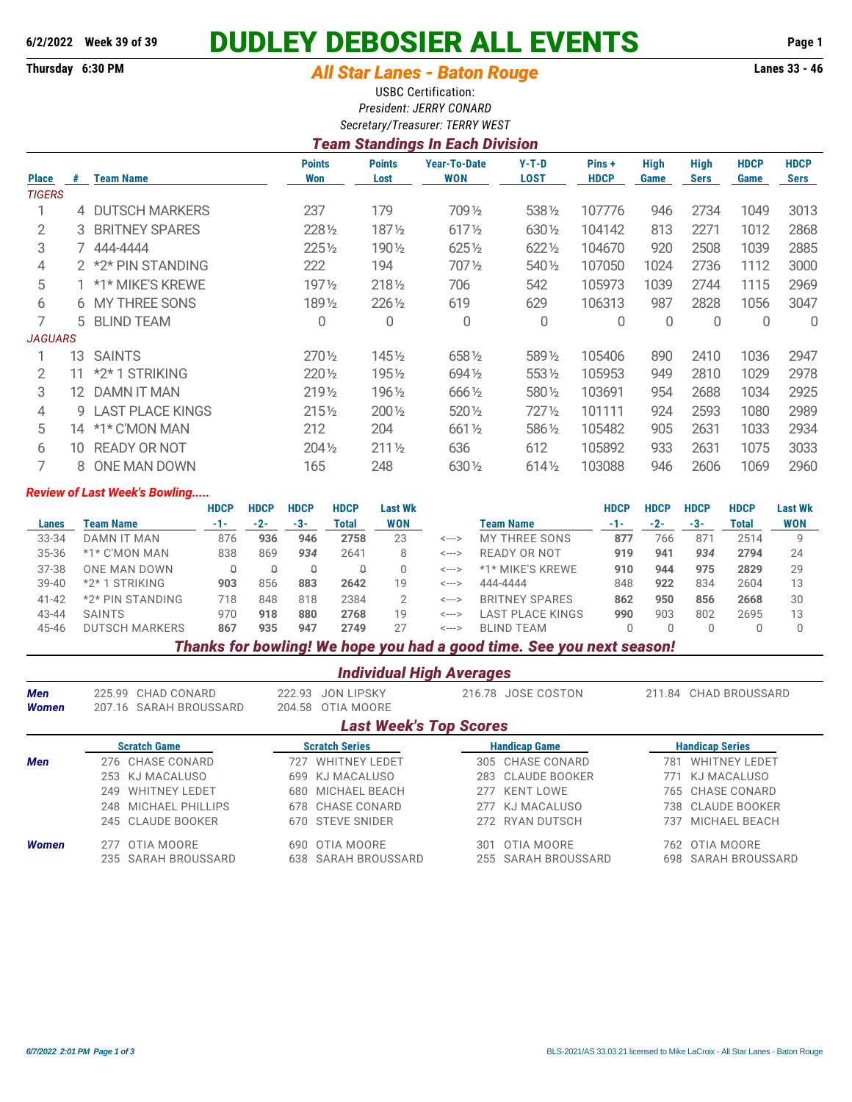# **6/2/2022 Week 39 of 39 DUDLEY DEBOSIER ALL EVENTS Page 1**

# **Thursday 6:30 PM** *All Star Lanes - Baton Rouge* **Lanes 33 - 46**

USBC Certification: *President: JERRY CONARD Secretary/Treasurer: TERRY WEST*

## *Team Standings In Each Division*

| <b>Place</b>   | #   | <b>Team Name</b>    | <b>Points</b><br><b>Won</b> | <b>Points</b><br>Lost | <b>Year-To-Date</b><br>WON | $Y-T-D$<br>LOST | Pins+<br><b>HDCP</b> | <b>High</b><br>Game | <b>High</b><br><b>Sers</b> | <b>HDCP</b><br>Game | <b>HDCP</b><br><b>Sers</b> |
|----------------|-----|---------------------|-----------------------------|-----------------------|----------------------------|-----------------|----------------------|---------------------|----------------------------|---------------------|----------------------------|
| <b>TIGERS</b>  |     |                     |                             |                       |                            |                 |                      |                     |                            |                     |                            |
|                |     | 4 DUTSCH MARKERS    | 237                         | 179                   | 7091/2                     | 5381/2          | 107776               | 946                 | 2734                       | 1049                | 3013                       |
| 2              |     | 3 BRITNEY SPARES    | 228 1/2                     | 1871/2                | 6171/2                     | 630 1/2         | 104142               | 813                 | 2271                       | 1012                | 2868                       |
| 3              |     | 7 444-4444          | 2251/2                      | 1901⁄2                | $625\%$                    | 6221/2          | 104670               | 920                 | 2508                       | 1039                | 2885                       |
| 4              |     | 2 *2* PIN STANDING  | 222                         | 194                   | 7071/2                     | 540 1/2         | 107050               | 1024                | 2736                       | 1112                | 3000                       |
| 5              |     | 1 *1* MIKE'S KREWE  | $197\frac{1}{2}$            | $218\%$               | 706                        | 542             | 105973               | 1039                | 2744                       | 1115                | 2969                       |
| 6              |     | 6 MY THREE SONS     | 1891/2                      | 226 1/2               | 619                        | 629             | 106313               | 987                 | 2828                       | 1056                | 3047                       |
|                |     | 5 BLIND TEAM        | 0                           | 0                     | 0                          | 0               | 0                    | 0                   | 0                          | 0                   | 0                          |
| <b>JAGUARS</b> |     |                     |                             |                       |                            |                 |                      |                     |                            |                     |                            |
|                | 13  | <b>SAINTS</b>       | $270\%$                     | 145½                  | 6581/2                     | 589 1/2         | 105406               | 890                 | 2410                       | 1036                | 2947                       |
| 2              | 11  | *2*1 STRIKING       | $220\%$                     | 195½                  | 6941/2                     | $553\%$         | 105953               | 949                 | 2810                       | 1029                | 2978                       |
| 3              | 12. | <b>DAMN IT MAN</b>  | 2191/2                      | 1961/2                | 666 1/2                    | 580 1/2         | 103691               | 954                 | 2688                       | 1034                | 2925                       |
| 4              |     | 9 LAST PLACE KINGS  | $215\frac{1}{2}$            | 200 1/2               | 520 1/2                    | 7271/2          | 101111               | 924                 | 2593                       | 1080                | 2989                       |
| 5              | 14  | *1* C'MON MAN       | 212                         | 204                   | $661\%$                    | 5861/2          | 105482               | 905                 | 2631                       | 1033                | 2934                       |
| 6              | 10  | <b>READY OR NOT</b> | $204\%$                     | $211\frac{1}{2}$      | 636                        | 612             | 105892               | 933                 | 2631                       | 1075                | 3033                       |
|                | 8   | ONE MAN DOWN        | 165                         | 248                   | 630 1/2                    | 6141/2          | 103088               | 946                 | 2606                       | 1069                | 2960                       |

#### *Review of Last Week's Bowling.....*

|           |                          | <b>HDCP</b>              | <b>HDCP</b> | <b>HDCP</b> | <b>HDCP</b> | Last Wk    |       |                       | HDCP | <b>HDCP</b> | <b>HDCP</b> | <b>HDCP</b> | <b>Last Wk</b> |
|-----------|--------------------------|--------------------------|-------------|-------------|-------------|------------|-------|-----------------------|------|-------------|-------------|-------------|----------------|
| Lanes     | <b>Team Name</b>         | -1-                      | $-2-$       | -3-         | Total       | <b>WON</b> |       | Team Name             | -1-  | $-2-$       | -3-         | Total       | <b>WON</b>     |
| 33-34     | DAMN IT MAN              | 876                      | 936         | 946         | 2758        | 23         | <---> | MY THREE SONS         | 877  | 766         | 871         | 2514        | Q              |
| 35-36     | *1* C'MON MAN            | 838                      | 869         | 934         | 2641        |            | <---> | READY OR NOT          | 919  | 941         | 934         | 2794        | 24             |
| 37-38     | ONE MAN DOWN             | Q                        |             |             |             |            | <---> | *1* MIKE'S KREWE      | 910  | 944         | 975         | 2829        | 29             |
| $39 - 40$ | STRIKING<br>$*2*1$       | 903                      | 856         | 883         | 2642        | 19         | <---> | 444-4444              | 848  | 922         | 834         | 2604        | 13             |
| $41 - 42$ | *2* PIN STANDING         | 718                      | 848         | 818         | 2384        |            | <---> | <b>BRITNEY SPARES</b> | 862  | 950         | 856         | 2668        | 30             |
| 43-44     | <b>SAINTS</b>            | 970                      | 918         | 880         | 2768        | 19         | <---> | LAST PLACE KINGS      | 990  | 903         | 802         | 2695        | 13             |
| 45-46     | <b>DUTSCH MARKERS</b>    | 867                      | 935         | 947         | 2749        | 27         | <---> | <b>BLIND TEAM</b>     |      |             |             |             |                |
|           | $\overline{\phantom{a}}$ | $\overline{\phantom{a}}$ |             |             |             | . .        |       | .<br>$\sim$           |      |             |             |             |                |

#### *Thanks for bowling! We hope you had a good time. See you next season!*

| <b>Individual High Averages</b> |                                                                                                |                             |                      |                             |  |  |  |  |  |  |  |  |  |
|---------------------------------|------------------------------------------------------------------------------------------------|-----------------------------|----------------------|-----------------------------|--|--|--|--|--|--|--|--|--|
| <b>Men</b>                      | 225.99 CHAD CONARD                                                                             | <b>JON LIPSKY</b><br>222.93 | 216.78 JOSE COSTON   | 211.84 CHAD BROUSSARD       |  |  |  |  |  |  |  |  |  |
| <b>Women</b>                    | 207.16 SARAH BROUSSARD                                                                         | OTIA MOORE<br>204.58        |                      |                             |  |  |  |  |  |  |  |  |  |
|                                 | <b>Last Week's Top Scores</b>                                                                  |                             |                      |                             |  |  |  |  |  |  |  |  |  |
|                                 | <b>Scratch Game</b><br><b>Scratch Series</b><br><b>Handicap Game</b><br><b>Handicap Series</b> |                             |                      |                             |  |  |  |  |  |  |  |  |  |
| <b>Men</b>                      | 276 CHASE CONARD                                                                               | <b>WHITNEY LEDET</b><br>727 | 305 CHASE CONARD     | <b>WHITNEY LEDET</b><br>781 |  |  |  |  |  |  |  |  |  |
|                                 | 253 KJ MACALUSO                                                                                | KJ MACALUSO<br>699          | CLAUDE BOOKER<br>283 | KJ MACALUSO<br>771          |  |  |  |  |  |  |  |  |  |
|                                 | <b>WHITNEY LEDET</b><br>249                                                                    | MICHAEL BEACH<br>680.       | KENT LOWE<br>277     | 765 CHASE CONARD            |  |  |  |  |  |  |  |  |  |
|                                 | 248 MICHAEL PHILLIPS                                                                           | 678 CHASE CONARD            | KJ MACALUSO<br>277   | CLAUDE BOOKER<br>738.       |  |  |  |  |  |  |  |  |  |
|                                 | 245 CLAUDE BOOKER                                                                              | 670 STEVE SNIDER            | 272 RYAN DUTSCH      | MICHAEL BEACH<br>737        |  |  |  |  |  |  |  |  |  |
| <b>Women</b>                    | OTIA MOORE<br>277                                                                              | OTIA MOORE<br>690           | OTIA MOORE<br>301    | OTIA MOORE<br>762           |  |  |  |  |  |  |  |  |  |
|                                 | 235 SARAH BROUSSARD                                                                            | SARAH BROUSSARD<br>638      | 255 SARAH BROUSSARD  | SARAH BROUSSARD<br>698      |  |  |  |  |  |  |  |  |  |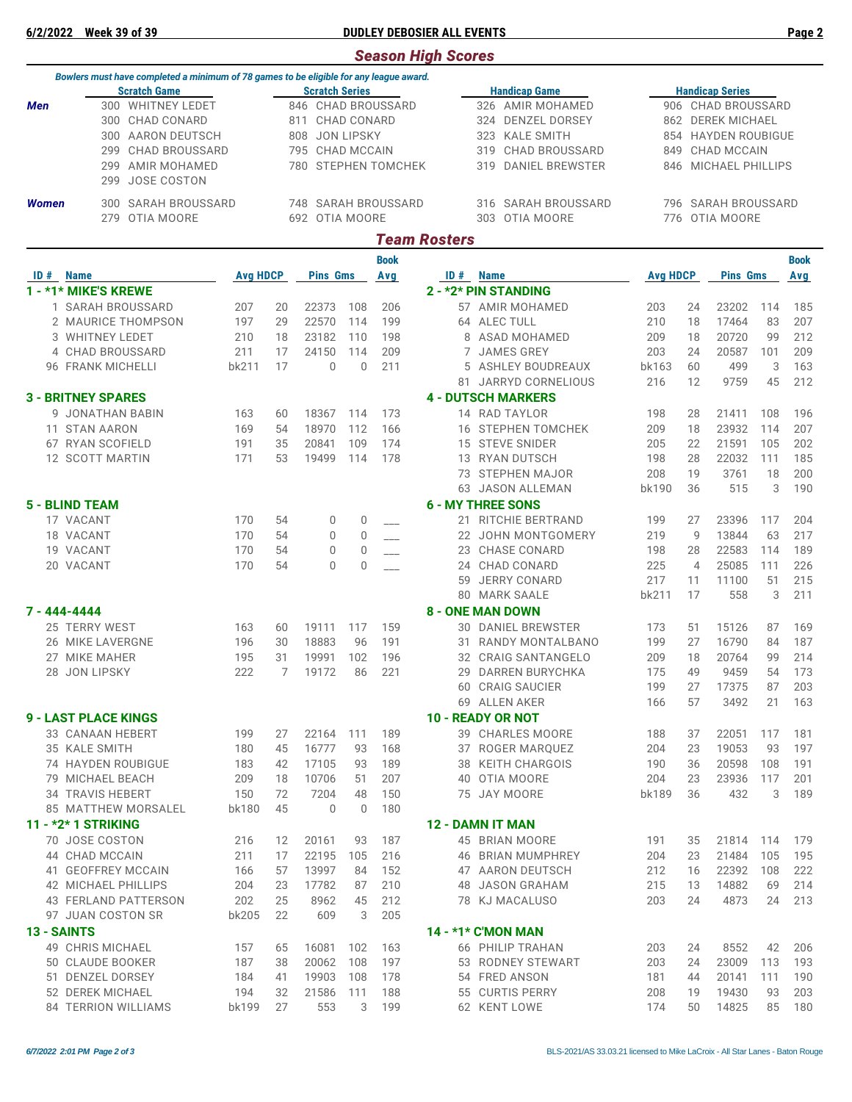## **6/2/2022 Week 39 of 39 DUDLEY DEBOSIER ALL EVENTS Page 2**

|                     |                                                                                        |                 |    |                          |              |                     | <b>Season High Scores</b> |                           |                        |    |                      |     |             |  |  |
|---------------------|----------------------------------------------------------------------------------------|-----------------|----|--------------------------|--------------|---------------------|---------------------------|---------------------------|------------------------|----|----------------------|-----|-------------|--|--|
|                     | Bowlers must have completed a minimum of 78 games to be eligible for any league award. |                 |    |                          |              |                     |                           |                           |                        |    |                      |     |             |  |  |
| <b>Scratch Game</b> |                                                                                        |                 |    | <b>Scratch Series</b>    |              |                     |                           | <b>Handicap Game</b>      | <b>Handicap Series</b> |    |                      |     |             |  |  |
| Men                 | 300 WHITNEY LEDET                                                                      |                 |    |                          |              | 846 CHAD BROUSSARD  |                           | 326 AMIR MOHAMED          | 906 CHAD BROUSSARD     |    |                      |     |             |  |  |
|                     | 300 CHAD CONARD                                                                        |                 |    | 811 CHAD CONARD          |              |                     |                           | 324 DENZEL DORSEY         | 862 DEREK MICHAEL      |    |                      |     |             |  |  |
|                     | 300 AARON DEUTSCH                                                                      |                 |    | <b>JON LIPSKY</b><br>808 |              |                     |                           | <b>KALE SMITH</b><br>323  |                        |    | 854 HAYDEN ROUBIGUE  |     |             |  |  |
|                     | CHAD BROUSSARD<br>299                                                                  |                 |    | 795 CHAD MCCAIN          |              |                     |                           | CHAD BROUSSARD<br>319     | 849                    |    | CHAD MCCAIN          |     |             |  |  |
|                     | AMIR MOHAMED<br>299                                                                    |                 |    |                          |              | 780 STEPHEN TOMCHEK |                           | DANIEL BREWSTER<br>319    |                        |    | 846 MICHAEL PHILLIPS |     |             |  |  |
|                     | JOSE COSTON<br>299                                                                     |                 |    |                          |              |                     |                           |                           |                        |    |                      |     |             |  |  |
|                     |                                                                                        |                 |    |                          |              |                     |                           |                           |                        |    |                      |     |             |  |  |
| <b>Women</b>        | 300 SARAH BROUSSARD                                                                    |                 |    |                          |              | 748 SARAH BROUSSARD |                           | SARAH BROUSSARD<br>316    |                        |    | 796 SARAH BROUSSARD  |     |             |  |  |
|                     | OTIA MOORE<br>279                                                                      |                 |    | 692 OTIA MOORE           |              |                     |                           | 303 OTIA MOORE            |                        |    | 776 OTIA MOORE       |     |             |  |  |
|                     |                                                                                        |                 |    |                          |              |                     | <b>Team Rosters</b>       |                           |                        |    |                      |     |             |  |  |
|                     |                                                                                        |                 |    |                          |              |                     |                           |                           |                        |    |                      |     |             |  |  |
|                     |                                                                                        |                 |    |                          |              | <b>Book</b>         |                           |                           |                        |    |                      |     | <b>Book</b> |  |  |
| <b>ID</b> # Name    |                                                                                        | <b>Avg HDCP</b> |    | <b>Pins Gms</b>          |              | Avg                 |                           | <b>ID</b> # Name          | <b>Avg HDCP</b>        |    | <b>Pins Gms</b>      |     | Avg         |  |  |
|                     | 1 - *1* MIKE'S KREWE                                                                   |                 |    |                          |              |                     |                           | 2 - *2* PIN STANDING      |                        |    |                      |     |             |  |  |
|                     | 1 SARAH BROUSSARD                                                                      | 207             | 20 | 22373                    | 108          | 206                 |                           | 57 AMIR MOHAMED           | 203                    | 24 | 23202                | 114 | 185         |  |  |
|                     | 2 MAURICE THOMPSON                                                                     | 197             | 29 | 22570                    | 114          | 199                 |                           | 64 ALEC TULL              | 210                    | 18 | 17464                | 83  | 207         |  |  |
|                     | 3 WHITNEY LEDET                                                                        | 210             | 18 | 23182                    | 110          | 198                 |                           | 8 ASAD MOHAMED            | 209                    | 18 | 20720                | 99  | 212         |  |  |
|                     | 4 CHAD BROUSSARD                                                                       | 211             | 17 | 24150                    | 114          | 209                 | 7                         | <b>JAMES GREY</b>         | 203                    | 24 | 20587                | 101 | 209         |  |  |
|                     | 96 FRANK MICHELLI                                                                      | bk211           | 17 | $\mathbf{0}$             | $\mathbf{0}$ | 211                 | 5.                        | ASHLEY BOUDREAUX          | bk163                  | 60 | 499                  | 3   | 163         |  |  |
|                     |                                                                                        |                 |    |                          |              |                     | 81                        | <b>JARRYD CORNELIOUS</b>  | 216                    | 12 | 9759                 | 45  | 212         |  |  |
|                     | <b>3 - BRITNEY SPARES</b>                                                              |                 |    |                          |              |                     |                           | <b>4 - DUTSCH MARKERS</b> |                        |    |                      |     |             |  |  |
|                     | 9 JONATHAN BABIN                                                                       | 163             | 60 | 18367                    | 114          | 173                 |                           | 14 RAD TAYLOR             | 198                    | 28 | 21411                | 108 | 196         |  |  |
|                     | 11 STAN AARON                                                                          | 169             | 54 | 18970                    | 112          | 166                 |                           | <b>16 STEPHEN TOMCHEK</b> | 209                    | 18 | 23932                | 114 | 207         |  |  |
|                     | 67 RYAN SCOFIELD                                                                       | 191             | 35 | 20841                    | 109          | 174                 |                           | 15 STEVE SNIDER           | 205                    | 22 | 21591                | 105 | 202         |  |  |
|                     | 12 SCOTT MARTIN                                                                        | 171             | 53 | 19499                    | 114          | 178                 |                           | 13 RYAN DUTSCH            | 198                    | 28 | 22032                | 111 | 185         |  |  |
|                     |                                                                                        |                 |    |                          |              |                     |                           | 73 STEPHEN MAJOR          | 208                    | 19 | 3761                 | 18  | 200         |  |  |
|                     |                                                                                        |                 |    |                          |              |                     |                           | 63 JASON ALLEMAN          | bk190                  | 36 | 515                  | 3   | 190         |  |  |
|                     | <b>5 - BLIND TEAM</b>                                                                  |                 |    |                          |              |                     |                           | <b>6 - MY THREE SONS</b>  |                        |    |                      |     |             |  |  |
|                     | 17 VACANT                                                                              | 170             | 54 | 0                        | 0            |                     |                           | 21 RITCHIE BERTRAND       | 199                    | 27 | 23396                | 117 | 204         |  |  |
|                     | 18 VACANT                                                                              | 170             | 54 |                          | $\mathbf{0}$ |                     |                           | 22 JOHN MONTGOMERY        | 219                    | 9  | 13844                | 63  | 217         |  |  |
|                     | 19 VACANT                                                                              | 170             | 54 | 0<br>$\mathbf{0}$        | $\mathbf{0}$ |                     |                           | 23 CHASE CONARD           | 198                    | 28 | 22583                | 114 | 189         |  |  |
|                     |                                                                                        |                 |    |                          |              |                     |                           |                           |                        |    |                      |     |             |  |  |
|                     | 20 VACANT                                                                              | 170             | 54 | $\Omega$                 | $\mathbf{0}$ |                     |                           | 24 CHAD CONARD            | 225                    | 4  | 25085                | 111 | 226         |  |  |
|                     |                                                                                        |                 |    |                          |              |                     | 59                        | <b>JERRY CONARD</b>       | 217                    | 11 | 11100                | 51  | 215         |  |  |
|                     |                                                                                        |                 |    |                          |              |                     |                           | 80 MARK SAALE             | bk211                  | 17 | 558                  | 3   | 211         |  |  |
| 7 - 444-4444        |                                                                                        |                 |    |                          |              |                     |                           | <b>8 - ONE MAN DOWN</b>   |                        |    |                      |     |             |  |  |
|                     | 25 TERRY WEST                                                                          | 163             | 60 | 19111                    | 117          | 159                 |                           | 30 DANIEL BREWSTER        | 173                    | 51 | 15126                | 87  | 169         |  |  |
|                     | 26 MIKE LAVERGNE                                                                       | 196             | 30 | 18883                    | 96           | 191                 | 31                        | RANDY MONTALBANO          | 199                    | 27 | 16790                | 84  | 187         |  |  |
|                     | 27 MIKE MAHER                                                                          | 195             | 31 | 19991                    | 102          | 196                 |                           | 32 CRAIG SANTANGELO       | 209                    | 18 | 20764                | 99  | 214         |  |  |
|                     | 28 JON LIPSKY                                                                          | 222             | 7  | 19172                    | 86           | 221                 |                           | 29 DARREN BURYCHKA        | 175                    | 49 | 9459                 | 54  | 173         |  |  |
|                     |                                                                                        |                 |    |                          |              |                     |                           | 60 CRAIG SAUCIER          | 199                    | 27 | 17375                | 87  | 203         |  |  |
|                     |                                                                                        |                 |    |                          |              |                     |                           | 69 ALLEN AKER             | 166                    | 57 | 3492                 | 21  | 163         |  |  |
|                     | <b>9 - LAST PLACE KINGS</b>                                                            |                 |    |                          |              |                     |                           | 10 - READY OR NOT         |                        |    |                      |     |             |  |  |
|                     | 33 CANAAN HEBERT                                                                       | 199             | 27 | 22164                    | 111          | 189                 |                           | 39 CHARLES MOORE          | 188                    | 37 | 22051                | 117 | 181         |  |  |
|                     | 35 KALE SMITH                                                                          | 180             | 45 | 16777                    | 93           | 168                 |                           | 37 ROGER MARQUEZ          | 204                    | 23 | 19053                | 93  | 197         |  |  |
|                     | 74 HAYDEN ROUBIGUE                                                                     | 183             | 42 | 17105                    | 93           | 189                 |                           | 38 KEITH CHARGOIS         | 190                    | 36 | 20598                | 108 | 191         |  |  |
|                     | 79 MICHAEL BEACH                                                                       | 209             | 18 | 10706                    | 51           | 207                 |                           | 40 OTIA MOORE             | 204                    | 23 | 23936                | 117 | 201         |  |  |
|                     | <b>34 TRAVIS HEBERT</b>                                                                | 150             | 72 | 7204                     | 48           | 150                 |                           | 75 JAY MOORE              | bk189                  | 36 | 432                  | 3   | 189         |  |  |
|                     | 85 MATTHEW MORSALEL                                                                    | bk180           | 45 | $\mathbf 0$              | $\mathbf 0$  | 180                 |                           |                           |                        |    |                      |     |             |  |  |
|                     | 11 - *2* 1 STRIKING                                                                    |                 |    |                          |              |                     |                           | <b>12 - DAMN IT MAN</b>   |                        |    |                      |     |             |  |  |
|                     | 70 JOSE COSTON                                                                         | 216             | 12 | 20161                    | 93           | 187                 |                           | 45 BRIAN MOORE            | 191                    | 35 | 21814                | 114 | 179         |  |  |
|                     | 44 CHAD MCCAIN                                                                         | 211             | 17 | 22195                    | 105          | 216                 |                           | <b>46 BRIAN MUMPHREY</b>  | 204                    | 23 | 21484                | 105 | 195         |  |  |
|                     | 41 GEOFFREY MCCAIN                                                                     | 166             | 57 | 13997                    | 84           | 152                 |                           | 47 AARON DEUTSCH          | 212                    | 16 | 22392                | 108 | 222         |  |  |
|                     | 42 MICHAEL PHILLIPS                                                                    | 204             | 23 | 17782                    | 87           | 210                 |                           | 48 JASON GRAHAM           | 215                    | 13 | 14882                | 69  | 214         |  |  |
|                     |                                                                                        |                 |    |                          |              |                     |                           |                           |                        |    |                      |     |             |  |  |
|                     | 43 FERLAND PATTERSON                                                                   | 202             | 25 | 8962                     | 45           | 212                 |                           | 78 KJ MACALUSO            | 203                    | 24 | 4873                 | 24  | 213         |  |  |
|                     | 97 JUAN COSTON SR                                                                      | bk205           | 22 | 609                      | 3            | 205                 |                           |                           |                        |    |                      |     |             |  |  |
| <b>13 - SAINTS</b>  |                                                                                        |                 |    |                          |              |                     |                           | <b>14 - *1* C'MON MAN</b> |                        |    |                      |     |             |  |  |
|                     | 49 CHRIS MICHAEL                                                                       | 157             | 65 | 16081                    | 102          | 163                 |                           | 66 PHILIP TRAHAN          | 203                    | 24 | 8552                 | 42  | 206         |  |  |
|                     | 50 CLAUDE BOOKER                                                                       | 187             | 38 | 20062                    | 108          | 197                 |                           | 53 RODNEY STEWART         | 203                    | 24 | 23009                | 113 | 193         |  |  |
|                     | 51 DENZEL DORSEY                                                                       | 184             | 41 | 19903                    | 108          | 178                 |                           | 54 FRED ANSON             | 181                    | 44 | 20141                | 111 | 190         |  |  |
|                     | 52 DEREK MICHAEL                                                                       | 194             | 32 | 21586                    | 111          | 188                 |                           | 55 CURTIS PERRY           | 208                    | 19 | 19430                | 93  | 203         |  |  |
|                     | 84 TERRION WILLIAMS                                                                    | bk199           | 27 | 553                      | 3            | 199                 |                           | 62 KENT LOWE              | 174                    | 50 | 14825                | 85  | 180         |  |  |